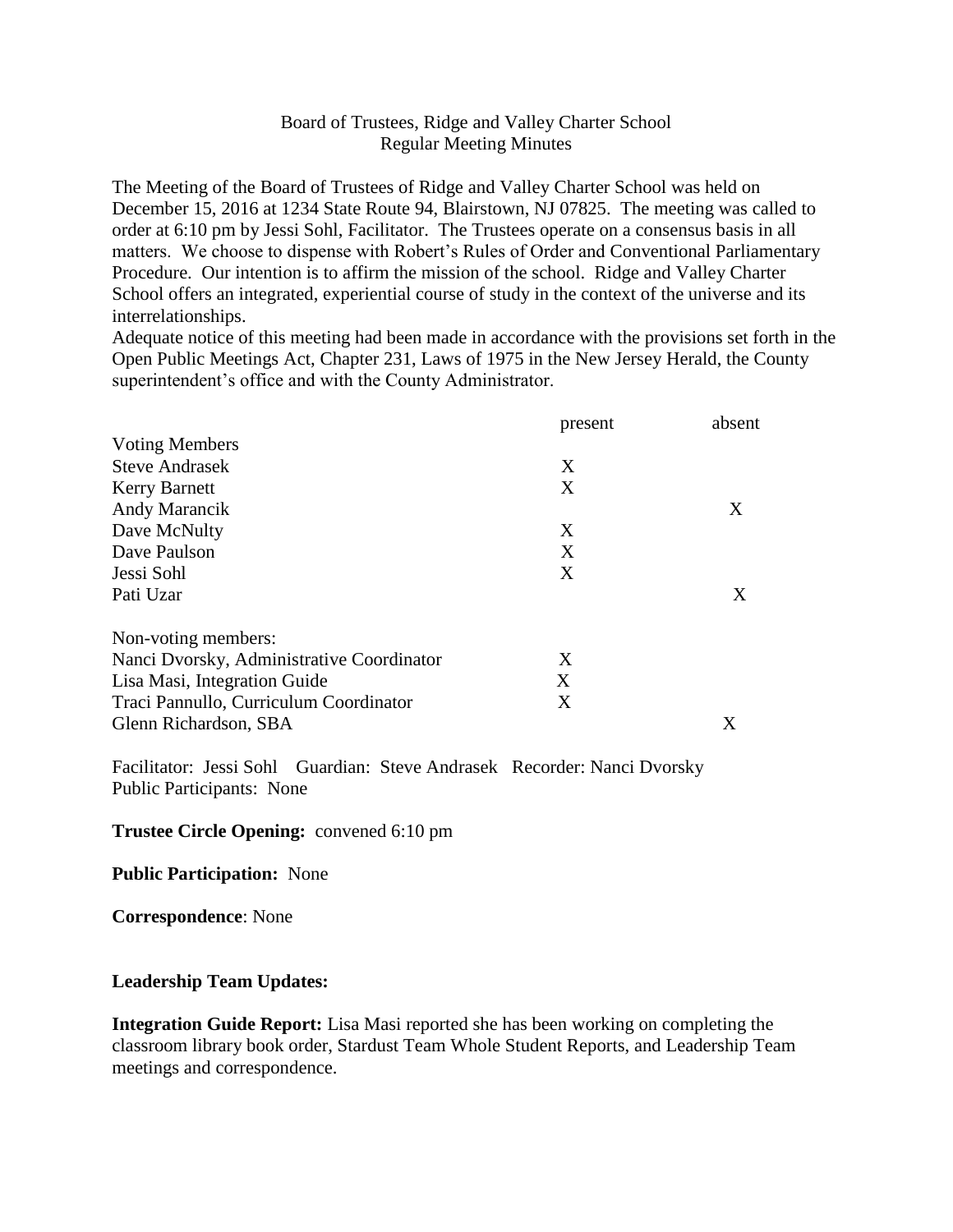# Board of Trustees, Ridge and Valley Charter School Regular Meeting Minutes

The Meeting of the Board of Trustees of Ridge and Valley Charter School was held on December 15, 2016 at 1234 State Route 94, Blairstown, NJ 07825. The meeting was called to order at 6:10 pm by Jessi Sohl, Facilitator. The Trustees operate on a consensus basis in all matters. We choose to dispense with Robert's Rules of Order and Conventional Parliamentary Procedure. Our intention is to affirm the mission of the school. Ridge and Valley Charter School offers an integrated, experiential course of study in the context of the universe and its interrelationships.

Adequate notice of this meeting had been made in accordance with the provisions set forth in the Open Public Meetings Act, Chapter 231, Laws of 1975 in the New Jersey Herald, the County superintendent's office and with the County Administrator.

|                                           | present | absent |
|-------------------------------------------|---------|--------|
| <b>Voting Members</b>                     |         |        |
| <b>Steve Andrasek</b>                     | X       |        |
| <b>Kerry Barnett</b>                      | X       |        |
| Andy Marancik                             |         | X      |
| Dave McNulty                              | X       |        |
| Dave Paulson                              | X       |        |
| Jessi Sohl                                | X       |        |
| Pati Uzar                                 |         | X      |
| Non-voting members:                       |         |        |
| Nanci Dvorsky, Administrative Coordinator | X       |        |
| Lisa Masi, Integration Guide              | X       |        |
| Traci Pannullo, Curriculum Coordinator    | X       |        |
| Glenn Richardson, SBA                     |         | Χ      |

Facilitator: Jessi Sohl Guardian: Steve Andrasek Recorder: Nanci Dvorsky Public Participants: None

#### **Trustee Circle Opening:** convened 6:10 pm

**Public Participation:** None

**Correspondence**: None

### **Leadership Team Updates:**

**Integration Guide Report:** Lisa Masi reported she has been working on completing the classroom library book order, Stardust Team Whole Student Reports, and Leadership Team meetings and correspondence.